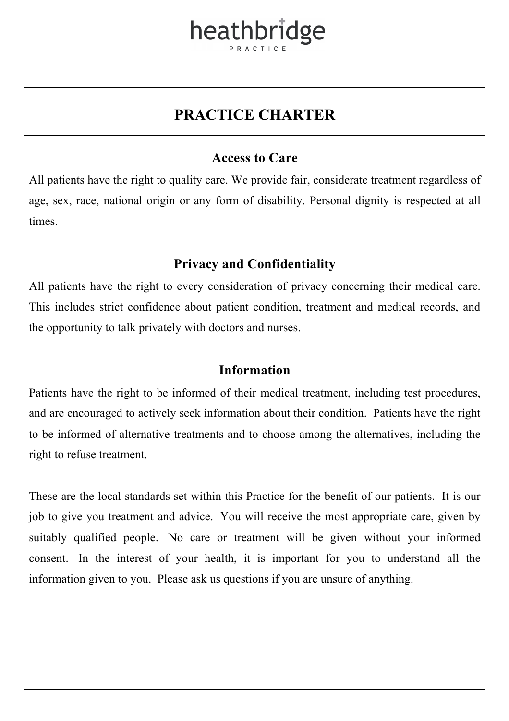### heathbridge

### **PRACTICE CHARTER**

#### **Access to Care**

All patients have the right to quality care. We provide fair, considerate treatment regardless of age, sex, race, national origin or any form of disability. Personal dignity is respected at all times.

#### **Privacy and Confidentiality**

All patients have the right to every consideration of privacy concerning their medical care. This includes strict confidence about patient condition, treatment and medical records, and the opportunity to talk privately with doctors and nurses.

#### **Information**

Patients have the right to be informed of their medical treatment, including test procedures, and are encouraged to actively seek information about their condition. Patients have the right to be informed of alternative treatments and to choose among the alternatives, including the right to refuse treatment.

These are the local standards set within this Practice for the benefit of our patients. It is our job to give you treatment and advice. You will receive the most appropriate care, given by suitably qualified people. No care or treatment will be given without your informed consent. In the interest of your health, it is important for you to understand all the information given to you. Please ask us questions if you are unsure of anything.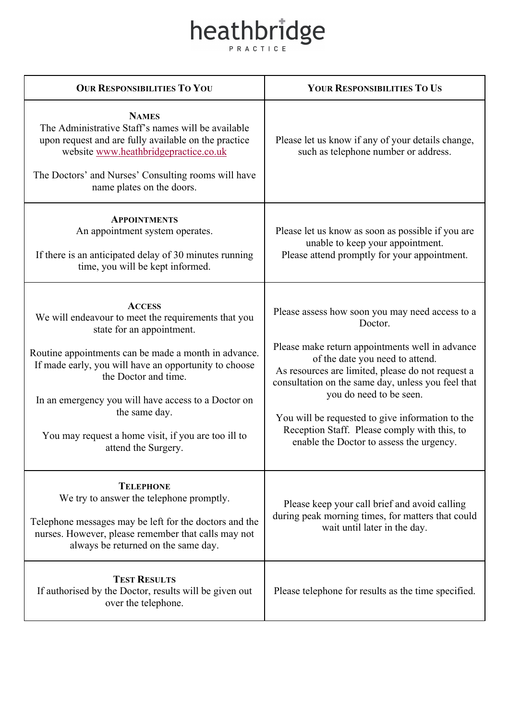# heathbridge

| <b>OUR RESPONSIBILITIES TO YOU</b>                                                                                                                                                                                                                                                                                                                                                               | YOUR RESPONSIBILITIES TO US                                                                                                                                                                                                                                                                                                                                                                                                            |
|--------------------------------------------------------------------------------------------------------------------------------------------------------------------------------------------------------------------------------------------------------------------------------------------------------------------------------------------------------------------------------------------------|----------------------------------------------------------------------------------------------------------------------------------------------------------------------------------------------------------------------------------------------------------------------------------------------------------------------------------------------------------------------------------------------------------------------------------------|
| <b>NAMES</b><br>The Administrative Staff's names will be available<br>upon request and are fully available on the practice<br>website www.heathbridgepractice.co.uk<br>The Doctors' and Nurses' Consulting rooms will have<br>name plates on the doors.                                                                                                                                          | Please let us know if any of your details change,<br>such as telephone number or address.                                                                                                                                                                                                                                                                                                                                              |
| <b>APPOINTMENTS</b><br>An appointment system operates.<br>If there is an anticipated delay of 30 minutes running<br>time, you will be kept informed.                                                                                                                                                                                                                                             | Please let us know as soon as possible if you are<br>unable to keep your appointment.<br>Please attend promptly for your appointment.                                                                                                                                                                                                                                                                                                  |
| <b>ACCESS</b><br>We will endeavour to meet the requirements that you<br>state for an appointment.<br>Routine appointments can be made a month in advance.<br>If made early, you will have an opportunity to choose<br>the Doctor and time.<br>In an emergency you will have access to a Doctor on<br>the same day.<br>You may request a home visit, if you are too ill to<br>attend the Surgery. | Please assess how soon you may need access to a<br>Doctor.<br>Please make return appointments well in advance<br>of the date you need to attend.<br>As resources are limited, please do not request a<br>consultation on the same day, unless you feel that<br>you do need to be seen.<br>You will be requested to give information to the<br>Reception Staff. Please comply with this, to<br>enable the Doctor to assess the urgency. |
| <b>TELEPHONE</b><br>We try to answer the telephone promptly.<br>Telephone messages may be left for the doctors and the<br>nurses. However, please remember that calls may not<br>always be returned on the same day.                                                                                                                                                                             | Please keep your call brief and avoid calling<br>during peak morning times, for matters that could<br>wait until later in the day.                                                                                                                                                                                                                                                                                                     |
| <b>TEST RESULTS</b><br>If authorised by the Doctor, results will be given out<br>over the telephone.                                                                                                                                                                                                                                                                                             | Please telephone for results as the time specified.                                                                                                                                                                                                                                                                                                                                                                                    |